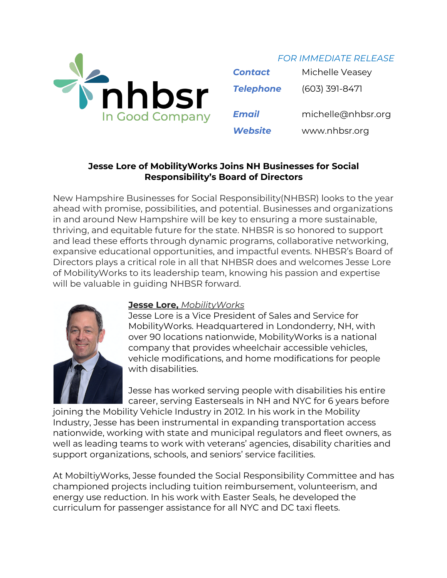

*FOR IMMEDIATE RELEASE*

| <b>Contact</b>   | Michelle Veasey    |
|------------------|--------------------|
| <b>Telephone</b> | $(603)$ 391-8471   |
| <b>Email</b>     | michelle@nhbsr.org |
| <b>Website</b>   | www.nhbsr.org      |

## **Jesse Lore of MobilityWorks Joins NH Businesses for Social Responsibility's Board of Directors**

New Hampshire Businesses for Social Responsibility(NHBSR) looks to the year ahead with promise, possibilities, and potential. Businesses and organizations in and around New Hampshire will be key to ensuring a more sustainable, thriving, and equitable future for the state. NHBSR is so honored to support and lead these efforts through dynamic programs, collaborative networking, expansive educational opportunities, and impactful events. NHBSR's Board of Directors plays a critical role in all that NHBSR does and welcomes Jesse Lore of MobilityWorks to its leadership team, knowing his passion and expertise will be valuable in guiding NHBSR forward.



## **Jesse Lore,** *MobilityWorks*

Jesse Lore is a Vice President of Sales and Service for MobilityWorks. Headquartered in Londonderry, NH, with over 90 locations nationwide, MobilityWorks is a national company that provides wheelchair accessible vehicles, vehicle modifications, and home modifications for people with disabilities.

Jesse has worked serving people with disabilities his entire career, serving Easterseals in NH and NYC for 6 years before

joining the Mobility Vehicle Industry in 2012. In his work in the Mobility Industry, Jesse has been instrumental in expanding transportation access nationwide, working with state and municipal regulators and fleet owners, as well as leading teams to work with veterans' agencies, disability charities and support organizations, schools, and seniors' service facilities.

At MobiltiyWorks, Jesse founded the Social Responsibility Committee and has championed projects including tuition reimbursement, volunteerism, and energy use reduction. In his work with Easter Seals, he developed the curriculum for passenger assistance for all NYC and DC taxi fleets.